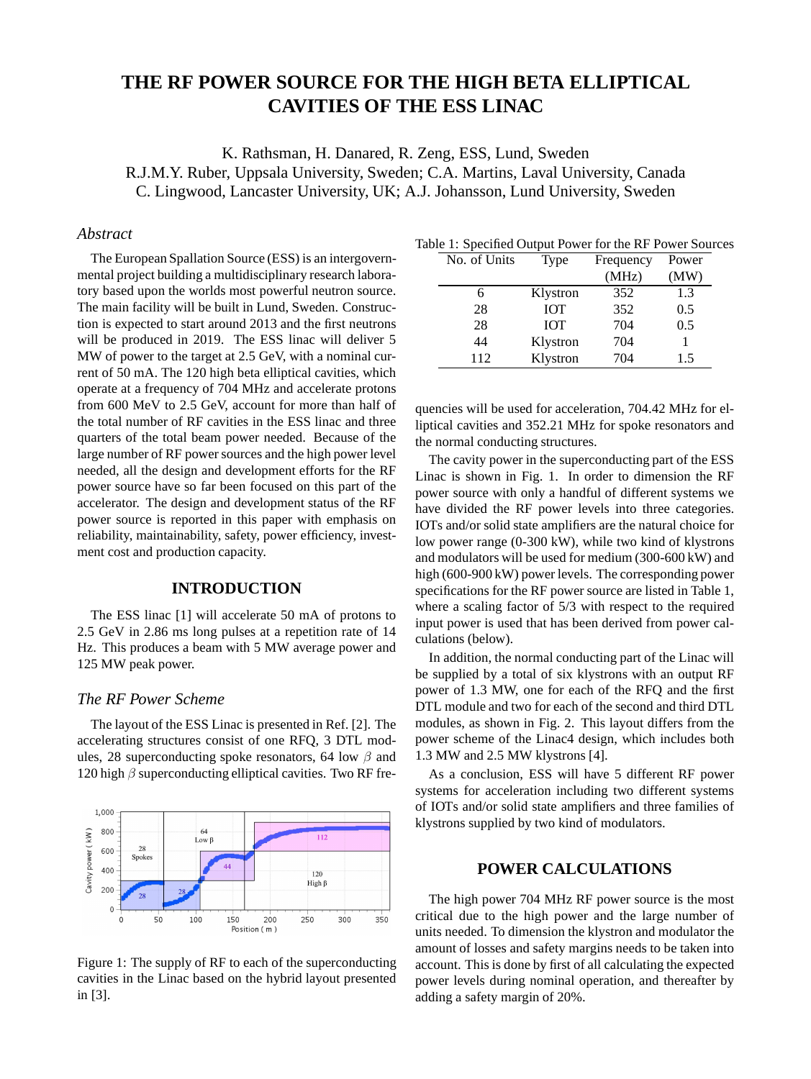# **THE RF POWER SOURCE FOR THE HIGH BETA ELLIPTICAL CAVITIES OF THE ESS LINAC**

K. Rathsman, H. Danared, R. Zeng, ESS, Lund, Sweden R.J.M.Y. Ruber, Uppsala University, Sweden; C.A. Martins, Laval University, Canada C. Lingwood, Lancaster University, UK; A.J. Johansson, Lund University, Sweden

## *Abstract*

The European Spallation Source (ESS) is an intergovernmental project building a multidisciplinary research laboratory based upon the worlds most powerful neutron source. The main facility will be built in Lund, Sweden. Construction is expected to start around 2013 and the first neutrons will be produced in 2019. The ESS linac will deliver 5 MW of power to the target at 2.5 GeV, with a nominal current of 50 mA. The 120 high beta elliptical cavities, which operate at a frequency of 704 MHz and accelerate protons from 600 MeV to 2.5 GeV, account for more than half of the total number of RF cavities in the ESS linac and three quarters of the total beam power needed. Because of the large number of RF power sources and the high power level needed, all the design and development efforts for the RF power source have so far been focused on this part of the accelerator. The design and development status of the RF power source is reported in this paper with emphasis on reliability, maintainability, safety, power efficiency, investment cost and production capacity.

# **INTRODUCTION**

The ESS linac [1] will accelerate 50 mA of protons to 2.5 GeV in 2.86 ms long pulses at a repetition rate of 14 Hz. This produces a beam with 5 MW average power and 125 MW peak power.

# *The RF Power Scheme*

The layout of the ESS Linac is presented in Ref. [2]. The accelerating structures consist of one RFQ, 3 DTL modules, 28 superconducting spoke resonators, 64 low  $\beta$  and 120 high  $\beta$  superconducting elliptical cavities. Two RF fre-



Figure 1: The supply of RF to each of the superconducting cavities in the Linac based on the hybrid layout presented in [3].

| Table 1: Specified Output Power for the RF Power Sources |  |
|----------------------------------------------------------|--|
|----------------------------------------------------------|--|

| No. of Units | Type       | Frequency | Power |
|--------------|------------|-----------|-------|
|              |            | (MHz)     | (MW)  |
|              | Klystron   | 352       | 1.3   |
| 28           | <b>IOT</b> | 352       | 0.5   |
| 28           | <b>IOT</b> | 704       | 0.5   |
| 44           | Klystron   | 704       |       |
| 112          | Klystron   | 704       | 1.5   |

quencies will be used for acceleration, 704.42 MHz for elliptical cavities and 352.21 MHz for spoke resonators and the normal conducting structures.

The cavity power in the superconducting part of the ESS Linac is shown in Fig. 1. In order to dimension the RF power source with only a handful of different systems we have divided the RF power levels into three categories. IOTs and/or solid state amplifiers are the natural choice for low power range (0-300 kW), while two kind of klystrons and modulators will be used for medium (300-600 kW) and high (600-900 kW) power levels. The corresponding power specifications for the RF power source are listed in Table 1, where a scaling factor of 5/3 with respect to the required input power is used that has been derived from power calculations (below).

In addition, the normal conducting part of the Linac will be supplied by a total of six klystrons with an output RF power of 1.3 MW, one for each of the RFQ and the first DTL module and two for each of the second and third DTL modules, as shown in Fig. 2. This layout differs from the power scheme of the Linac4 design, which includes both 1.3 MW and 2.5 MW klystrons [4].

As a conclusion, ESS will have 5 different RF power systems for acceleration including two different systems of IOTs and/or solid state amplifiers and three families of klystrons supplied by two kind of modulators.

# **POWER CALCULATIONS**

The high power 704 MHz RF power source is the most critical due to the high power and the large number of units needed. To dimension the klystron and modulator the amount of losses and safety margins needs to be taken into account. This is done by first of all calculating the expected power levels during nominal operation, and thereafter by adding a safety margin of 20%.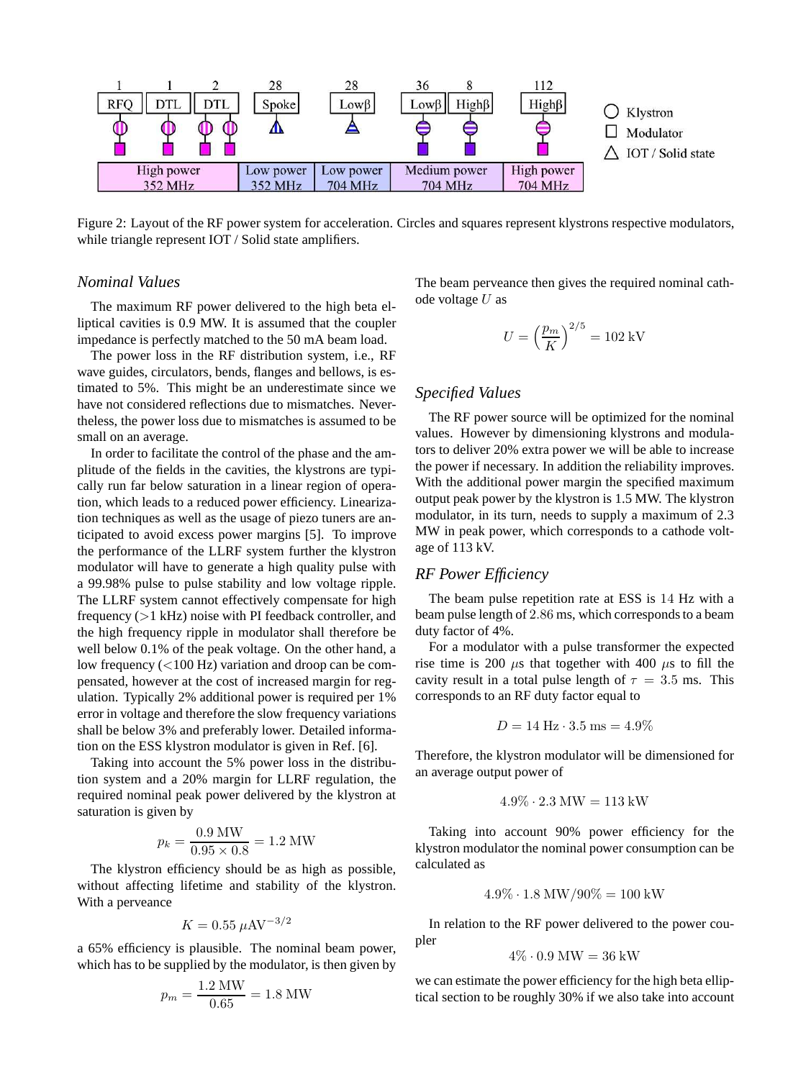

Figure 2: Layout of the RF power system for acceleration. Circles and squares represent klystrons respective modulators, while triangle represent IOT / Solid state amplifiers.

## *Nominal Values*

The maximum RF power delivered to the high beta elliptical cavities is 0.9 MW. It is assumed that the coupler impedance is perfectly matched to the 50 mA beam load.

The power loss in the RF distribution system, i.e., RF wave guides, circulators, bends, flanges and bellows, is estimated to 5%. This might be an underestimate since we have not considered reflections due to mismatches. Nevertheless, the power loss due to mismatches is assumed to be small on an average.

In order to facilitate the control of the phase and the amplitude of the fields in the cavities, the klystrons are typically run far below saturation in a linear region of operation, which leads to a reduced power efficiency. Linearization techniques as well as the usage of piezo tuners are anticipated to avoid excess power margins [5]. To improve the performance of the LLRF system further the klystron modulator will have to generate a high quality pulse with a 99.98% pulse to pulse stability and low voltage ripple. The LLRF system cannot effectively compensate for high frequency (>1 kHz) noise with PI feedback controller, and the high frequency ripple in modulator shall therefore be well below 0.1% of the peak voltage. On the other hand, a low frequency  $(<100$  Hz) variation and droop can be compensated, however at the cost of increased margin for regulation. Typically 2% additional power is required per 1% error in voltage and therefore the slow frequency variations shall be below 3% and preferably lower. Detailed information on the ESS klystron modulator is given in Ref. [6].

Taking into account the 5% power loss in the distribution system and a 20% margin for LLRF regulation, the required nominal peak power delivered by the klystron at saturation is given by

$$
p_k = \frac{0.9 \text{ MW}}{0.95 \times 0.8} = 1.2 \text{ MW}
$$

The klystron efficiency should be as high as possible, without affecting lifetime and stability of the klystron. With a perveance

$$
K = 0.55 \ \mu \text{AV}^{-3/2}
$$

a 65% efficiency is plausible. The nominal beam power, which has to be supplied by the modulator, is then given by

$$
p_m = \frac{1.2 \text{ MW}}{0.65} = 1.8 \text{ MW}
$$

The beam perveance then gives the required nominal cathode voltage  $U$  as

$$
U=\left(\frac{p_m}{K}\right)^{2/5}=102\;\mathrm{kV}
$$

## *Specified Values*

The RF power source will be optimized for the nominal values. However by dimensioning klystrons and modulators to deliver 20% extra power we will be able to increase the power if necessary. In addition the reliability improves. With the additional power margin the specified maximum output peak power by the klystron is 1.5 MW. The klystron modulator, in its turn, needs to supply a maximum of 2.3 MW in peak power, which corresponds to a cathode voltage of 113 kV.

# *RF Power Efficiency*

The beam pulse repetition rate at ESS is 14 Hz with a beam pulse length of 2.86 ms, which corresponds to a beam duty factor of 4%.

For a modulator with a pulse transformer the expected rise time is 200  $\mu$ s that together with 400  $\mu$ s to fill the cavity result in a total pulse length of  $\tau = 3.5$  ms. This corresponds to an RF duty factor equal to

$$
D = 14 \, \text{Hz} \cdot 3.5 \, \text{ms} = 4.9\%
$$

Therefore, the klystron modulator will be dimensioned for an average output power of

$$
4.9\% \cdot 2.3 \text{ MW} = 113 \text{ kW}
$$

Taking into account 90% power efficiency for the klystron modulator the nominal power consumption can be calculated as

$$
4.9\% \cdot 1.8 \text{ MW} / 90\% = 100 \text{ kW}
$$

In relation to the RF power delivered to the power coupler

$$
4\% \cdot 0.9 \text{ MW} = 36 \text{ kW}
$$

we can estimate the power efficiency for the high beta elliptical section to be roughly 30% if we also take into account